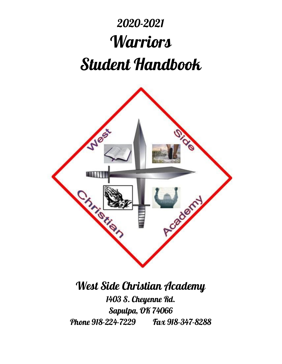# 2020-2021 **Warriors** Student Handbook



# West Side Christian Academy

1403 S. Cheyenne Rd. Sapulpa, OK 74066 Phone 918-224-7229 Fax 918-347-8288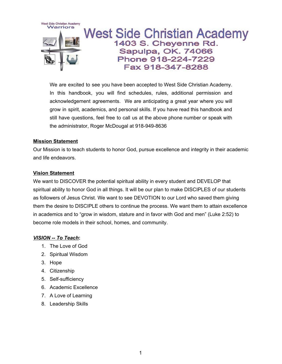

We are excited to see you have been accepted to West Side Christian Academy. In this handbook, you will find schedules, rules, additional permission and acknowledgement agreements. We are anticipating a great year where you will grow in spirit, academics, and personal skills. If you have read this handbook and still have questions, feel free to call us at the above phone number or speak with the administrator, Roger McDougal at 918-949-8636

#### **Mission Statement**

Our Mission is to teach students to honor God, pursue excellence and integrity in their academic and life endeavors.

#### **Vision Statement**

We want to DISCOVER the potential spiritual ability in every student and DEVELOP that spiritual ability to honor God in all things. It will be our plan to make DISCIPLES of our students as followers of Jesus Christ. We want to see DEVOTION to our Lord who saved them giving them the desire to DISCIPLE others to continue the process. We want them to attain excellence in academics and to "grow in wisdom, stature and in favor with God and men" (Luke 2:52) to become role models in their school, homes, and community.

#### *VISION -- To Teach***:**

- 1. The Love of God
- 2. Spiritual Wisdom
- 3. Hope
- 4. Citizenship
- 5. Self-sufficiency
- 6. Academic Excellence
- 7. A Love of Learning
- 8. Leadership Skills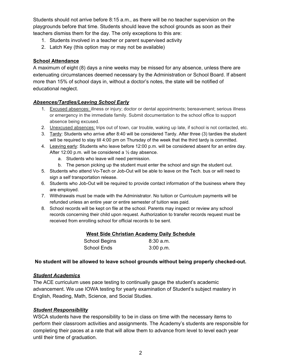Students should not arrive before 8:15 a.m., as there will be no teacher supervision on the playgrounds before that time. Students should leave the school grounds as soon as their teachers dismiss them for the day. The only exceptions to this are:

- 1. Students involved in a teacher or parent supervised activity
- 2. Latch Key (this option may or may not be available)

#### **School Attendance**

A maximum of eight (8) days a nine weeks may be missed for any absence, unless there are extenuating circumstances deemed necessary by the Administration or School Board. If absent more than 15% of school days in, without a doctor's notes, the state will be notified of educational neglect.

#### *Absences/Tardies/Leaving School Early*

- 1. Excused absences: illness or injury; doctor or dental appointments; bereavement; serious illness or emergency in the immediate family. Submit documentation to the school office to support absence being excused.
- 2. Unexcused absences: trips out of town, car trouble, waking up late, if school is not contacted, etc.
- 3. Tardy: Students who arrive after 8:40 will be considered Tardy. After three (3) tardies the student will be required to stay till 4:00 pm on Thursday of the week that the third tardy is committed.
- 4. Leaving early: Students who leave before 12:00 p.m. will be considered absent for an entire day. After 12:00 p.m. will be considered a ½ day absence.
	- a. Students who leave will need permission.
	- b. The person picking up the student must enter the school and sign the student out.
- 5. Students who attend Vo-Tech or Job-Out will be able to leave on the Tech. bus or will need to sign a self transportation release.
- 6. Students who Job-Out will be required to provide contact information of the business where they are employed.
- 7. Withdrawals must be made with the Administrator. No tuition or Curriculum payments will be refunded unless an entire year or entire semester of tuition was paid.
- 8. School records will be kept on file at the school. Parents may inspect or review any school records concerning their child upon request. Authorization to transfer records request must be received from enrolling school for official records to be sent.

|  |  | West Side Christian Academy Daily Schedule |
|--|--|--------------------------------------------|
|  |  |                                            |

| School Begins | 8:30 a.m. |
|---------------|-----------|
| School Ends   | 3:00 p.m. |

#### **No student will be allowed to leave school grounds without being properly checked-out.**

#### *Student Academics*

The ACE curriculum uses pace testing to continually gauge the student's academic advancement. We use IOWA testing for yearly examination of Student's subject mastery in English, Reading, Math, Science, and Social Studies.

#### *Student Responsibility*

WSCA students have the responsibility to be in class on time with the necessary items to perform their classroom activities and assignments. The Academy's students are responsible for completing their paces at a rate that will allow them to advance from level to level each year until their time of graduation.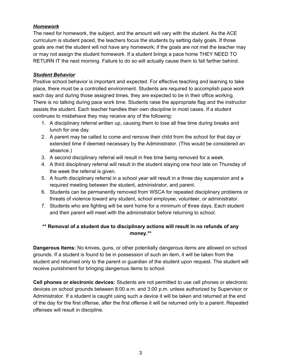#### *Homework*

The need for homework, the subject, and the amount will vary with the student. As the ACE curriculum is student paced, the teachers focus the students by setting daily goals. If those goals are met the student will not have any homework; if the goals are not met the teacher may or may not assign the student homework. If a student brings a pace home THEY NEED TO RETURN IT the next morning. Failure to do so will actually cause them to fall farther behind.

#### *Student Behavior*

Positive school behavior is important and expected. For effective teaching and learning to take place, there must be a controlled environment. Students are required to accomplish pace work each day and during those assigned times, they are expected to be in their office working. There is no talking during pace work time. Students raise the appropriate flag and the instructor assists the student. Each teacher handles their own discipline in most cases. If a student continues to misbehave they may receive any of the following:

- 1. A disciplinary referral written up, causing them to lose all free time during breaks and lunch for one day.
- 2. A parent may be called to come and remove their child from the school for that day or extended time if deemed necessary by the Administrator. (This would be considered an absence.)
- 3. A second disciplinary referral will result in free time being removed for a week.
- 4. A third disciplinary referral will result in the student staying one hour late on Thursday of the week the referral is given.
- 5. A fourth disciplinary referral in a school year will result in a three day suspension and a required meeting between the student, administrator, and parent.
- 6. Students can be permanently removed from WSCA for repeated disciplinary problems or threats of violence toward any student, school employee, volunteer, or administrator.
- 7. Students who are fighting will be sent home for a minimum of three days. Each student and their parent will meet with the administrator before returning to school.

#### **\*\* Removal of a student due to disciplinary actions will result in no refunds of any money.\*\***

**Dangerous Items:** No knives, guns, or other potentially dangerous items are allowed on school grounds. If a student is found to be in possession of such an item, it will be taken from the student and returned only to the parent or guardian of the student upon request. The student will receive punishment for bringing dangerous items to school.

**Cell phones or electronic devices:** Students are not permitted to use cell phones or electronic devices on school grounds between 8:00 a.m. and 3:00 p.m. unless authorized by Supervisor or Administrator. If a student is caught using such a device it will be taken and returned at the end of the day for the first offense, after the first offense it will be returned only to a parent. Repeated offenses will result in discipline.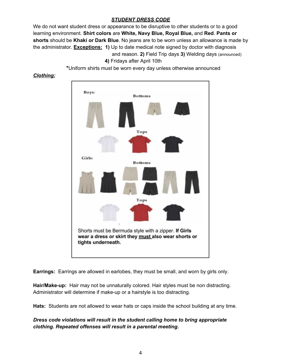#### *STUDENT DRESS CODE*

We do not want student dress or appearance to be disruptive to other students or to a good learning environment. **Shirt colors** are **White, Navy Blue, Royal Blue,** and **Red**. **Pants or shorts** should be **Khaki or Dark Blue**. No jeans are to be worn unless an allowance is made by the administrator. **Exceptions: 1)** Up to date medical note signed by doctor with diagnosis and reason. **2)** Field Trip days **3)** Welding days (announced)

**4)** Fridays after April 10th

**\***Uniform shirts must be worn every day unless otherwise announced

#### *Clothing:*



**Earrings:** Earrings are allowed in earlobes, they must be small, and worn by girls only.

**Hair/Make-up:** Hair may not be unnaturally colored. Hair styles must be non distracting. Administrator will determine if make-up or a hairstyle is too distracting.

**Hats:** Students are not allowed to wear hats or caps inside the school building at any time.

#### *Dress code violations will result in the student calling home to bring appropriate clothing. Repeated offenses will result in a parental meeting.*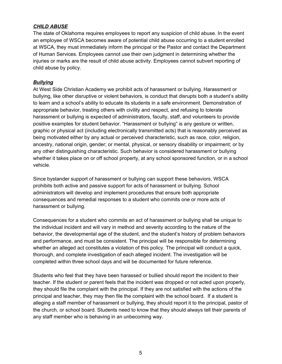#### *CHILD ABUSE*

The state of Oklahoma requires employees to report any suspicion of child abuse. In the event an employee of WSCA becomes aware of potential child abuse occurring to a student enrolled at WSCA, they must immediately inform the principal or the Pastor and contact the Department of Human Services. Employees cannot use their own judgment in determining whether the injuries or marks are the result of child abuse activity. Employees cannot subvert reporting of child abuse by policy.

#### *Bullying*

At West Side Christian Academy we prohibit acts of harassment or bullying. Harassment or bullying, like other disruptive or violent behaviors, is conduct that disrupts both a student's ability to learn and a school's ability to educate its students in a safe environment. Demonstration of appropriate behavior, treating others with civility and respect, and refusing to tolerate harassment or bullying is expected of administrators, faculty, staff, and volunteers to provide positive examples for student behavior. "Harassment or bullying" is any gesture or written, graphic or physical act (including electronically transmitted acts) that is reasonably perceived as being motivated either by any actual or perceived characteristic, such as race, color, religion, ancestry, national origin, gender; or mental, physical, or sensory disability or impairment; or by any other distinguishing characteristic. Such behavior is considered harassment or bullying whether it takes place on or off school property, at any school sponsored function, or in a school vehicle.

Since bystander support of harassment or bullying can support these behaviors, WSCA prohibits both active and passive support for acts of harassment or bullying. School administrators will develop and implement procedures that ensure both appropriate consequences and remedial responses to a student who commits one or more acts of harassment or bullying.

Consequences for a student who commits an act of harassment or bullying shall be unique to the individual incident and will vary in method and severity according to the nature of the behavior, the developmental age of the student, and the student's history of problem behaviors and performance, and must be consistent. The principal will be responsible for determining whether an alleged act constitutes a violation of this policy. The principal will conduct a quick, thorough, and complete investigation of each alleged incident. The investigation will be completed within three school days and will be documented for future reference.

Students who feel that they have been harassed or bullied should report the incident to their teacher. If the student or parent feels that the incident was dropped or not acted upon properly, they should file the complaint with the principal. If they are not satisfied with the actions of the principal and teacher, they may then file the complaint with the school board. If a student is alleging a staff member of harassment or bullying, they should report it to the principal, pastor of the church, or school board. Students need to know that they should always tell their parents of any staff member who is behaving in an unbecoming way.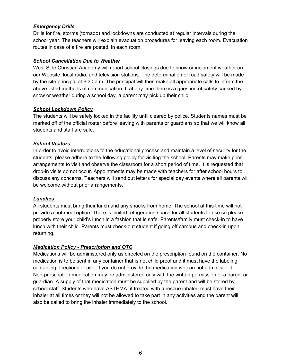#### *Emergency Drills*

Drills for fire, storms (tornado) and lockdowns are conducted at regular intervals during the school year. The teachers will explain evacuation procedures for leaving each room. Evacuation routes in case of a fire are posted in each room.

#### *School Cancellation Due to Weather*

West Side Christian Academy will report school closings due to snow or inclement weather on our Website, local radio, and television stations. The determination of road safety will be made by the site principal at 6:30 a.m. The principal will then make all appropriate calls to inform the above listed methods of communication. If at any time there is a question of safety caused by snow or weather during a school day, a parent may pick up their child.

#### *School Lockdown Policy*

The students will be safely locked in the facility until cleared by police. Students names must be marked off of the official roster before leaving with parents or guardians so that we will know all students and staff are safe.

#### *School Visitors*

In order to avoid interruptions to the educational process and maintain a level of security for the students, please adhere to the following policy for visiting the school. Parents may make prior arrangements to visit and observe the classroom for a short period of time. It is requested that drop-in visits do not occur. Appointments may be made with teachers for after school hours to discuss any concerns. Teachers will send out letters for special day events where all parents will be welcome without prior arrangements.

#### *Lunches*

All students must bring their lunch and any snacks from home. The school at this time will not provide a hot meal option. There is limited refrigeration space for all students to use so please properly store your child's lunch in a fashion that is safe. Parents/family must check-in to have lunch with their child. Parents must check-out student if going off campus and check-in upon returning.

#### *Medication Policy - Prescription and OTC*

Medications will be administered only as directed on the prescription found on the container. No medication is to be sent in any container that is not child proof and it must have the labeling containing directions of use. If you do not provide the medication we can not administer it. Non-prescription medication may be administered only with the written permission of a parent or guardian. A supply of that medication must be supplied by the parent and will be stored by school staff. Students who have ASTHMA, if treated with a rescue inhaler, must have their inhaler at all times or they will not be allowed to take part in any activities and the parent will also be called to bring the inhaler immediately to the school.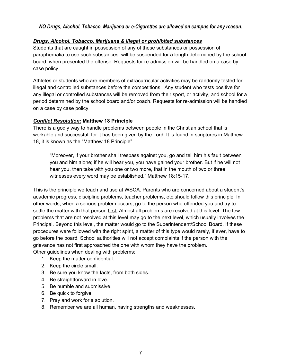#### *NO Drugs, Alcohol, Tobacco, Marijuana or e-Cigarettes are allowed on campus for any reason***.**

#### *Drugs, Alcohol, Tobacco, Marijuana & illegal or prohibited substances*

Students that are caught in possession of any of these substances or possession of paraphernalia to use such substances, will be suspended for a length determined by the school board, when presented the offense. Requests for re-admission will be handled on a case by case policy.

Athletes or students who are members of extracurricular activities may be randomly tested for illegal and controlled substances before the competitions. Any student who tests positive for any illegal or controlled substances will be removed from their sport, or activity, and school for a period determined by the school board and/or coach. Requests for re-admission will be handled on a case by case policy.

#### *Conflict Resolution:* **Matthew 18 Principle**

There is a godly way to handle problems between people in the Christian school that is workable and successful, for it has been given by the Lord. It is found in scriptures in Matthew 18, it is known as the "Matthew 18 Principle"

"Moreover, if your brother shall trespass against you, go and tell him his fault between you and him alone; if he will hear you, you have gained your brother. But if he will not hear you, then take with you one or two more, that in the mouth of two or three witnesses every word may be established." Matthew 18:15-17.

This is the principle we teach and use at WSCA. Parents who are concerned about a student's academic progress, discipline problems, teacher problems, etc.should follow this principle. In other words, when a serious problem occurs, go to the person who offended you and try to settle the matter with that person first. Almost all problems are resolved at this level. The few problems that are not resolved at this level may go to the next level, which usually involves the Principal. Beyond this level, the matter would go to the Superintendent/School Board. If these procedures were followed with the right spirit, a matter of this type would rarely, if ever, have to go before the board. School authorities will not accept complaints if the person with the grievance has not first approached the one with whom they have the problem. Other guidelines when dealing with problems:

- 1. Keep the matter confidential.
- 2. Keep the circle small.
- 3. Be sure you know the facts, from both sides.
- 4. Be straightforward in love.
- 5. Be humble and submissive.
- 6. Be quick to forgive.
- 7. Pray and work for a solution.
- 8. Remember we are all human, having strengths and weaknesses.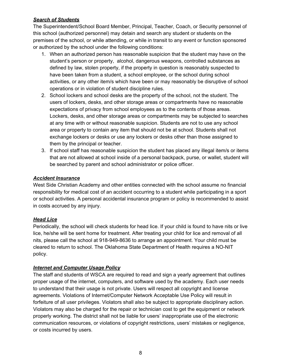#### *Search of Students*

The Superintendent/School Board Member, Principal, Teacher, Coach, or Security personnel of this school (authorized personnel) may detain and search any student or students on the premises of the school, or while attending, or while in transit to any event or function sponsored or authorized by the school under the following conditions:

- 1. When an authorized person has reasonable suspicion that the student may have on the student's person or property, alcohol, dangerous weapons, controlled substances as defined by law, stolen property, if the property in question is reasonably suspected to have been taken from a student, a school employee, or the school during school activities, or any other item/s which have been or may reasonably be disruptive of school operations or in violation of student discipline rules.
- 2. School lockers and school desks are the property of the school, not the student. The users of lockers, desks, and other storage areas or compartments have no reasonable expectations of privacy from school employees as to the contents of those areas. Lockers, desks, and other storage areas or compartments may be subjected to searches at any time with or without reasonable suspicion. Students are not to use any school area or property to contain any item that should not be at school. Students shall not exchange lockers or desks or use any lockers or desks other than those assigned to them by the principal or teacher.
- 3. If school staff has reasonable suspicion the student has placed any illegal item/s or items that are not allowed at school inside of a personal backpack, purse, or wallet, student will be searched by parent and school administrator or police officer.

#### *Accident Insurance*

West Side Christian Academy and other entities connected with the school assume no financial responsibility for medical cost of an accident occurring to a student while participating in a sport or school activities. A personal accidental insurance program or policy is recommended to assist in costs accrued by any injury.

#### *Head Lice*

Periodically, the school will check students for head lice. If your child is found to have nits or live lice, he/she will be sent home for treatment. After treating your child for lice and removal of all nits, please call the school at 918-949-8636 to arrange an appointment. Your child must be cleared to return to school. The Oklahoma State Department of Health requires a NO-NIT policy.

#### *Internet and Computer Usage Policy*

The staff and students of WSCA are required to read and sign a yearly agreement that outlines proper usage of the internet, computers, and software used by the academy. Each user needs to understand that their usage is not private. Users will respect all copyright and license agreements. Violations of Internet/Computer Network Acceptable Use Policy will result in forfeiture of all user privileges. Violators shall also be subject to appropriate disciplinary action. Violators may also be charged for the repair or technician cost to get the equipment or network properly working. The district shall not be liable for users' inappropriate use of the electronic communication resources, or violations of copyright restrictions, users' mistakes or negligence, or costs incurred by users.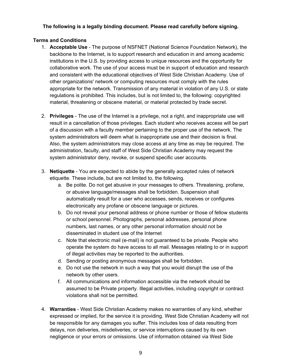#### **The following is a legally binding document. Please read carefully before signing.**

#### **Terms and Conditions**

- 1. **Acceptable Use** The purpose of NSFNET (National Science Foundation Network), the backbone to the Internet, is to support research and education in and among academic institutions in the U.S. by providing access to unique resources and the opportunity for collaborative work. The use of your access must be in support of education and research and consistent with the educational objectives of West Side Christian Academy. Use of other organizations' network or computing resources must comply with the rules appropriate for the network. Transmission of any material in violation of any U.S. or state regulations is prohibited. This includes, but is not limited to, the following: copyrighted material, threatening or obscene material, or material protected by trade secret.
- 2. **Privileges** The use of the Internet is a privilege, not a right, and inappropriate use will result in a cancellation of those privileges. Each student who receives access will be part of a discussion with a faculty member pertaining to the proper use of the network. The system administrators will deem what is inappropriate use and their decision is final. Also, the system administrators may close access at any time as may be required. The administration, faculty, and staff of West Side Christian Academy may request the system administrator deny, revoke, or suspend specific user accounts.
- 3. **Netiquette** You are expected to abide by the generally accepted rules of network etiquette. These include, but are not limited to, the following.
	- a. Be polite. Do not get abusive in your messages to others. Threatening, profane, or abusive language/messages shall be forbidden. Suspension shall automatically result for a user who accesses, sends, receives or configures electronically any profane or obscene language or pictures.
	- b. Do not reveal your personal address or phone number or those of fellow students or school personnel. Photographs, personal addresses, personal phone numbers, last names, or any other personal information should not be disseminated in student use of the Internet
	- c. Note that electronic mail (e-mail) is not guaranteed to be private. People who operate the system do have access to all mail. Messages relating to or in support of illegal activities may be reported to the authorities.
	- d. Sending or posting anonymous messages shall be forbidden.
	- e. Do not use the network in such a way that you would disrupt the use of the network by other users.
	- f. All communications and information accessible via the network should be assumed to be Private property. Illegal activities, including copyright or contract violations shall not be permitted.
- 4. **Warranties** West Side Christian Academy makes no warranties of any kind, whether expressed or implied, for the service it is providing. West Side Christian Academy will not be responsible for any damages you suffer. This includes loss of data resulting from delays, non deliveries, misdeliveries, or service interruptions caused by its own negligence or your errors or omissions. Use of information obtained via West Side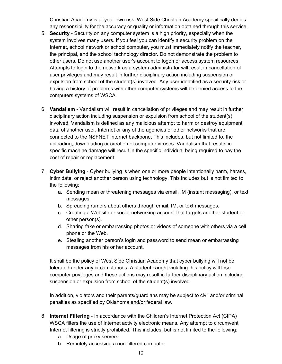Christian Academy is at your own risk. West Side Christian Academy specifically denies any responsibility for the accuracy or quality or information obtained through this service.

- 5. **Security** Security on any computer system is a high priority, especially when the system involves many users. If you feel you can identify a security problem on the Internet, school network or school computer, you must immediately notify the teacher, the principal, and the school technology director. Do not demonstrate the problem to other users. Do not use another user's account to logon or access system resources. Attempts to login to the network as a system administrator will result in cancellation of user privileges and may result in further disciplinary action including suspension or expulsion from school of the student(s) involved. Any user identified as a security risk or having a history of problems with other computer systems will be denied access to the computers systems of WSCA.
- 6. **Vandalism** Vandalism will result in cancellation of privileges and may result in further disciplinary action including suspension or expulsion from school of the student(s) involved. Vandalism is defined as any malicious attempt to harm or destroy equipment, data of another user, Internet or any of the agencies or other networks that are connected to the NSFNET Internet backbone. This includes, but not limited to, the uploading, downloading or creation of computer viruses. Vandalism that results in specific machine damage will result in the specific individual being required to pay the cost of repair or replacement.
- 7. **Cyber Bullying** Cyber bullying is when one or more people intentionally harm, harass, intimidate, or reject another person using technology. This includes but is not limited to the following:
	- a. Sending mean or threatening messages via email, IM (instant messaging), or text messages.
	- b. Spreading rumors about others through email, IM, or text messages.
	- c. Creating a Website or social-networking account that targets another student or other person(s).
	- d. Sharing fake or embarrassing photos or videos of someone with others via a cell phone or the Web.
	- e. Stealing another person's login and password to send mean or embarrassing messages from his or her account.

It shall be the policy of West Side Christian Academy that cyber bullying will not be tolerated under any circumstances. A student caught violating this policy will lose computer privileges and these actions may result in further disciplinary action including suspension or expulsion from school of the student(s) involved.

In addition, violators and their parents/guardians may be subject to civil and/or criminal penalties as specified by Oklahoma and/or federal law.

- 8. **Internet Filtering** In accordance with the Children's Internet Protection Act (CIPA) WSCA filters the use of Internet activity electronic means. Any attempt to circumvent Internet filtering is strictly prohibited. This includes, but is not limited to the following:
	- a. Usage of proxy servers
	- b. Remotely accessing a non-filtered computer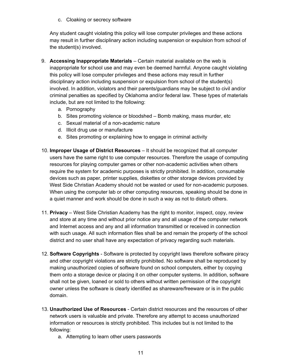c. Cloaking or secrecy software

Any student caught violating this policy will lose computer privileges and these actions may result in further disciplinary action including suspension or expulsion from school of the student(s) involved.

- 9. **Accessing Inappropriate Materials** Certain material available on the web is inappropriate for school use and may even be deemed harmful. Anyone caught violating this policy will lose computer privileges and these actions may result in further disciplinary action including suspension or expulsion from school of the student(s) involved. In addition, violators and their parents/guardians may be subject to civil and/or criminal penalties as specified by Oklahoma and/or federal law. These types of materials include, but are not limited to the following:
	- a. Pornography
	- b. Sites promoting violence or bloodshed Bomb making, mass murder, etc
	- c. Sexual material of a non-academic nature
	- d. Illicit drug use or manufacture
	- e. Sites promoting or explaining how to engage in criminal activity
- 10. **Improper Usage of District Resources** It should be recognized that all computer users have the same right to use computer resources. Therefore the usage of computing resources for playing computer games or other non-academic activities when others require the system for academic purposes is strictly prohibited. In addition, consumable devices such as paper, printer supplies, diskettes or other storage devices provided by West Side Christian Academy should not be wasted or used for non-academic purposes. When using the computer lab or other computing resources, speaking should be done in a quiet manner and work should be done in such a way as not to disturb others.
- 11. **Privacy** West Side Christian Academy has the right to monitor, inspect, copy, review and store at any time and without prior notice any and all usage of the computer network and Internet access and any and all information transmitted or received in connection with such usage. All such information files shall be and remain the property of the school district and no user shall have any expectation of privacy regarding such materials.
- 12. **Software Copyrights** Software is protected by copyright laws therefore software piracy and other copyright violations are strictly prohibited. No software shall be reproduced by making unauthorized copies of software found on school computers, either by copying them onto a storage device or placing it on other computer systems. In addition, software shall not be given, loaned or sold to others without written permission of the copyright owner unless the software is clearly identified as shareware/freeware or is in the public domain.
- 13. **Unauthorized Use of Resources** Certain district resources and the resources of other network users is valuable and private. Therefore any attempt to access unauthorized information or resources is strictly prohibited. This includes but is not limited to the following:
	- a. Attempting to learn other users passwords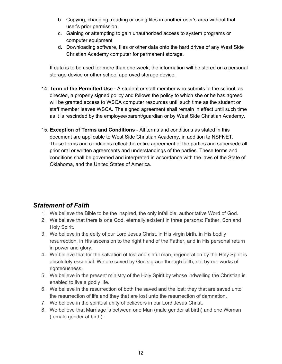- b. Copying, changing, reading or using files in another user's area without that user's prior permission
- c. Gaining or attempting to gain unauthorized access to system programs or computer equipment
- d. Downloading software, files or other data onto the hard drives of any West Side Christian Academy computer for permanent storage.

If data is to be used for more than one week, the information will be stored on a personal storage device or other school approved storage device.

- 14. **Term of the Permitted Use** A student or staff member who submits to the school, as directed, a properly signed policy and follows the policy to which she or he has agreed will be granted access to WSCA computer resources until such time as the student or staff member leaves WSCA. The signed agreement shall remain in effect until such time as it is rescinded by the employee/parent/guardian or by West Side Christian Academy.
- 15. **Exception of Terms and Conditions** All terms and conditions as stated in this document are applicable to West Side Christian Academy, in addition to NSFNET. These terms and conditions reflect the entire agreement of the parties and supersede all prior oral or written agreements and understandings of the parties. These terms and conditions shall be governed and interpreted in accordance with the laws of the State of Oklahoma, and the United States of America.

### *Statement of Faith*

- 1. We believe the Bible to be the inspired, the only infallible, authoritative Word of God.
- 2. We believe that there is one God, eternally existent in three persons: Father, Son and Holy Spirit.
- 3. We believe in the deity of our Lord Jesus Christ, in His virgin birth, in His bodily resurrection, in His ascension to the right hand of the Father, and in His personal return in power and glory.
- 4. We believe that for the salvation of lost and sinful man, regeneration by the Holy Spirit is absolutely essential. We are saved by God's grace through faith, not by our works of righteousness.
- 5. We believe in the present ministry of the Holy Spirit by whose indwelling the Christian is enabled to live a godly life.
- 6. We believe in the resurrection of both the saved and the lost; they that are saved unto the resurrection of life and they that are lost unto the resurrection of damnation.
- 7. We believe in the spiritual unity of believers in our Lord Jesus Christ.
- 8. We believe that Marriage is between one Man (male gender at birth) and one Woman (female gender at birth).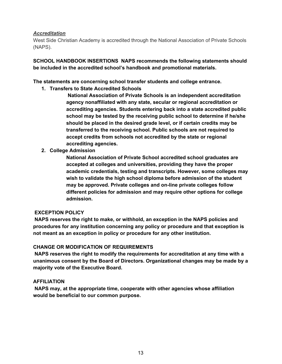#### *Accreditation*

West Side Christian Academy is accredited through the National Association of Private Schools (NAPS).

**SCHOOL HANDBOOK INSERTIONS NAPS recommends the following statements should be included in the accredited school's handbook and promotional materials.**

**The statements are concerning school transfer students and college entrance.**

**1. Transfers to State Accredited Schools**

**National Association of Private Schools is an independent accreditation agency nonaffiliated with any state, secular or regional accreditation or accrediting agencies. Students entering back into a state accredited public school may be tested by the receiving public school to determine if he/she should be placed in the desired grade level, or if certain credits may be transferred to the receiving school. Public schools are not required to accept credits from schools not accredited by the state or regional accrediting agencies.**

**2. College Admission**

**National Association of Private School accredited school graduates are accepted at colleges and universities, providing they have the proper academic credentials, testing and transcripts. However, some colleges may wish to validate the high school diploma before admission of the student may be approved. Private colleges and on-line private colleges follow different policies for admission and may require other options for college admission.**

#### **EXCEPTION POLICY**

**NAPS reserves the right to make, or withhold, an exception in the NAPS policies and procedures for any institution concerning any policy or procedure and that exception is not meant as an exception in policy or procedure for any other institution.**

#### **CHANGE OR MODIFICATION OF REQUIREMENTS**

**NAPS reserves the right to modify the requirements for accreditation at any time with a unanimous consent by the Board of Directors. Organizational changes may be made by a majority vote of the Executive Board.**

#### **AFFILIATION**

**NAPS may, at the appropriate time, cooperate with other agencies whose affiliation would be beneficial to our common purpose.**